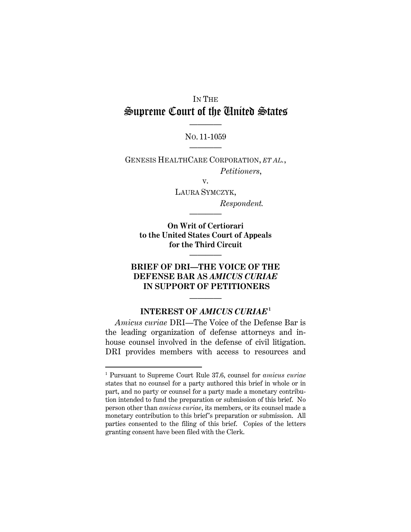# IN THE Supreme Court of the United States ————

NO. 11-1059 ————

GENESIS HEALTHCARE CORPORATION, *ET AL.*, *Petitioners*,

v.

LAURA SYMCZYK, *Respondent.* 

**On Writ of Certiorari to the United States Court of Appeals for the Third Circuit**

————

————

## **BRIEF OF DRI—THE VOICE OF THE DEFENSE BAR AS** *AMICUS CURIAE*  **IN SUPPORT OF PETITIONERS**

## **INTEREST OF** *AMICUS CURIAE***<sup>1</sup>**

————

*Amicus curiae* DRI—The Voice of the Defense Bar is the leading organization of defense attorneys and inhouse counsel involved in the defense of civil litigation. DRI provides members with access to resources and

-

<sup>1</sup> Pursuant to Supreme Court Rule 37.6, counsel for *amicus curiae* states that no counsel for a party authored this brief in whole or in part, and no party or counsel for a party made a monetary contribution intended to fund the preparation or submission of this brief. No person other than *amicus curiae*, its members, or its counsel made a monetary contribution to this brief's preparation or submission. All parties consented to the filing of this brief. Copies of the letters granting consent have been filed with the Clerk.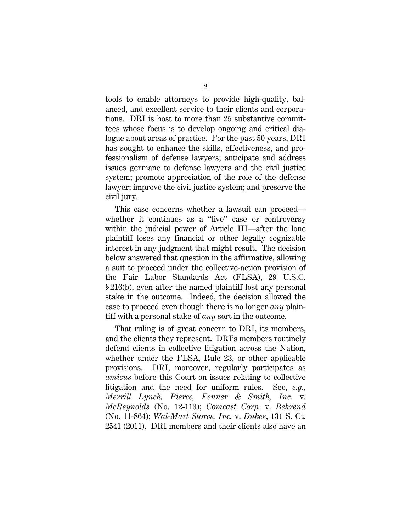tools to enable attorneys to provide high-quality, balanced, and excellent service to their clients and corporations. DRI is host to more than 25 substantive committees whose focus is to develop ongoing and critical dialogue about areas of practice. For the past 50 years, DRI has sought to enhance the skills, effectiveness, and professionalism of defense lawyers; anticipate and address issues germane to defense lawyers and the civil justice system; promote appreciation of the role of the defense lawyer; improve the civil justice system; and preserve the civil jury.

This case concerns whether a lawsuit can proceed whether it continues as a "live" case or controversy within the judicial power of Article III—after the lone plaintiff loses any financial or other legally cognizable interest in any judgment that might result. The decision below answered that question in the affirmative, allowing a suit to proceed under the collective-action provision of the Fair Labor Standards Act (FLSA), 29 U.S.C. § 216(b), even after the named plaintiff lost any personal stake in the outcome. Indeed, the decision allowed the case to proceed even though there is no longer *any* plaintiff with a personal stake of *any* sort in the outcome.

That ruling is of great concern to DRI, its members, and the clients they represent. DRI's members routinely defend clients in collective litigation across the Nation, whether under the FLSA, Rule 23, or other applicable provisions. DRI, moreover, regularly participates as *amicus* before this Court on issues relating to collective litigation and the need for uniform rules. See, *e.g.*, *Merrill Lynch, Pierce, Fenner & Smith, Inc.* v. *McReynolds* (No. 12-113); *Comcast Corp.* v. *Behrend* (No. 11-864); *Wal-Mart Stores, Inc.* v. *Dukes*, 131 S. Ct. 2541 (2011). DRI members and their clients also have an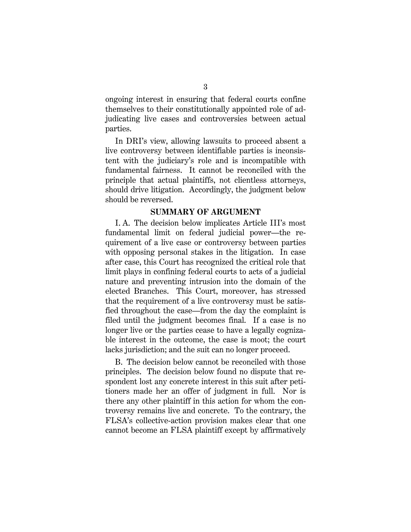ongoing interest in ensuring that federal courts confine themselves to their constitutionally appointed role of adjudicating live cases and controversies between actual parties.

In DRI's view, allowing lawsuits to proceed absent a live controversy between identifiable parties is inconsistent with the judiciary's role and is incompatible with fundamental fairness. It cannot be reconciled with the principle that actual plaintiffs, not clientless attorneys, should drive litigation. Accordingly, the judgment below should be reversed.

#### **SUMMARY OF ARGUMENT**

I. A. The decision below implicates Article III's most fundamental limit on federal judicial power—the requirement of a live case or controversy between parties with opposing personal stakes in the litigation. In case after case, this Court has recognized the critical role that limit plays in confining federal courts to acts of a judicial nature and preventing intrusion into the domain of the elected Branches. This Court, moreover, has stressed that the requirement of a live controversy must be satisfied throughout the case—from the day the complaint is filed until the judgment becomes final. If a case is no longer live or the parties cease to have a legally cognizable interest in the outcome, the case is moot; the court lacks jurisdiction; and the suit can no longer proceed.

B. The decision below cannot be reconciled with those principles. The decision below found no dispute that respondent lost any concrete interest in this suit after petitioners made her an offer of judgment in full. Nor is there any other plaintiff in this action for whom the controversy remains live and concrete. To the contrary, the FLSA's collective-action provision makes clear that one cannot become an FLSA plaintiff except by affirmatively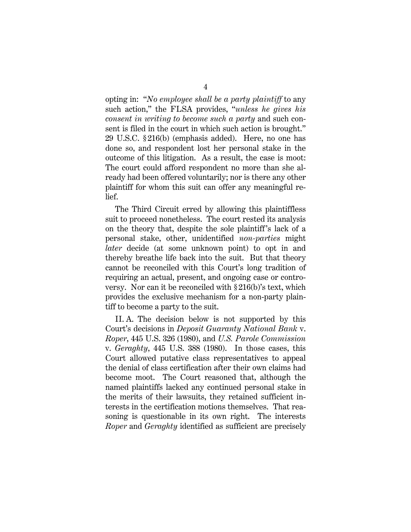opting in: "*No employee shall be a party plaintiff* to any such action," the FLSA provides, "*unless he gives his consent in writing to become such a party* and such consent is filed in the court in which such action is brought." 29 U.S.C. § 216(b) (emphasis added). Here, no one has done so, and respondent lost her personal stake in the outcome of this litigation. As a result, the case is moot: The court could afford respondent no more than she already had been offered voluntarily; nor is there any other plaintiff for whom this suit can offer any meaningful relief.

The Third Circuit erred by allowing this plaintiffless suit to proceed nonetheless. The court rested its analysis on the theory that, despite the sole plaintiff 's lack of a personal stake, other, unidentified *non-parties* might *later* decide (at some unknown point) to opt in and thereby breathe life back into the suit. But that theory cannot be reconciled with this Court's long tradition of requiring an actual, present, and ongoing case or controversy. Nor can it be reconciled with § 216(b)'s text, which provides the exclusive mechanism for a non-party plaintiff to become a party to the suit.

II. A. The decision below is not supported by this Court's decisions in *Deposit Guaranty National Bank* v. *Roper*, 445 U.S. 326 (1980), and *U.S. Parole Commission* v. *Geraghty*, 445 U.S. 388 (1980). In those cases, this Court allowed putative class representatives to appeal the denial of class certification after their own claims had become moot. The Court reasoned that, although the named plaintiffs lacked any continued personal stake in the merits of their lawsuits, they retained sufficient interests in the certification motions themselves. That reasoning is questionable in its own right. The interests *Roper* and *Geraghty* identified as sufficient are precisely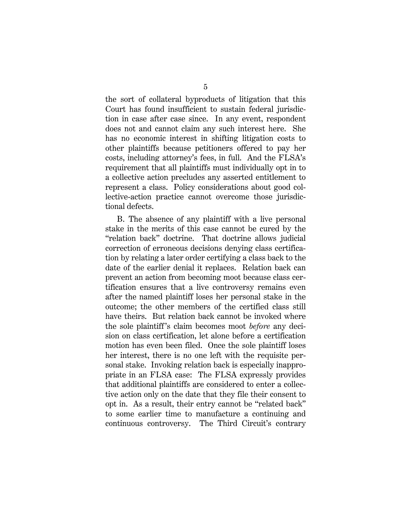the sort of collateral byproducts of litigation that this Court has found insufficient to sustain federal jurisdiction in case after case since. In any event, respondent does not and cannot claim any such interest here. She has no economic interest in shifting litigation costs to other plaintiffs because petitioners offered to pay her costs, including attorney's fees, in full. And the FLSA's requirement that all plaintiffs must individually opt in to a collective action precludes any asserted entitlement to represent a class. Policy considerations about good collective-action practice cannot overcome those jurisdictional defects.

 B. The absence of any plaintiff with a live personal stake in the merits of this case cannot be cured by the "relation back" doctrine. That doctrine allows judicial correction of erroneous decisions denying class certification by relating a later order certifying a class back to the date of the earlier denial it replaces. Relation back can prevent an action from becoming moot because class certification ensures that a live controversy remains even after the named plaintiff loses her personal stake in the outcome; the other members of the certified class still have theirs. But relation back cannot be invoked where the sole plaintiff 's claim becomes moot *before* any decision on class certification, let alone before a certification motion has even been filed. Once the sole plaintiff loses her interest, there is no one left with the requisite personal stake. Invoking relation back is especially inappropriate in an FLSA case: The FLSA expressly provides that additional plaintiffs are considered to enter a collective action only on the date that they file their consent to opt in. As a result, their entry cannot be "related back" to some earlier time to manufacture a continuing and continuous controversy. The Third Circuit's contrary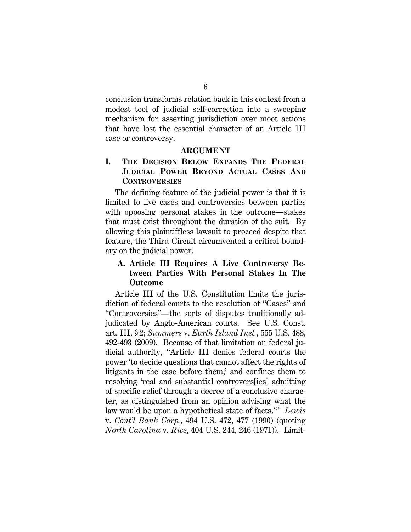conclusion transforms relation back in this context from a modest tool of judicial self-correction into a sweeping mechanism for asserting jurisdiction over moot actions that have lost the essential character of an Article III case or controversy.

#### **ARGUMENT**

## **I. THE DECISION BELOW EXPANDS THE FEDERAL JUDICIAL POWER BEYOND ACTUAL CASES AND CONTROVERSIES**

The defining feature of the judicial power is that it is limited to live cases and controversies between parties with opposing personal stakes in the outcome—stakes that must exist throughout the duration of the suit. By allowing this plaintiffless lawsuit to proceed despite that feature, the Third Circuit circumvented a critical boundary on the judicial power.

## **A. Article III Requires A Live Controversy Between Parties With Personal Stakes In The Outcome**

Article III of the U.S. Constitution limits the jurisdiction of federal courts to the resolution of "Cases" and "Controversies"—the sorts of disputes traditionally adjudicated by Anglo-American courts. See U.S. Const. art. III, § 2; *Summers* v. *Earth Island Inst.*, 555 U.S. 488, 492-493 (2009). Because of that limitation on federal judicial authority, "Article III denies federal courts the power 'to decide questions that cannot affect the rights of litigants in the case before them,' and confines them to resolving 'real and substantial controvers[ies] admitting of specific relief through a decree of a conclusive character, as distinguished from an opinion advising what the law would be upon a hypothetical state of facts.'" *Lewis* v. *Cont'l Bank Corp.*, 494 U.S. 472, 477 (1990) (quoting *North Carolina* v. *Rice*, 404 U.S. 244, 246 (1971)). Limit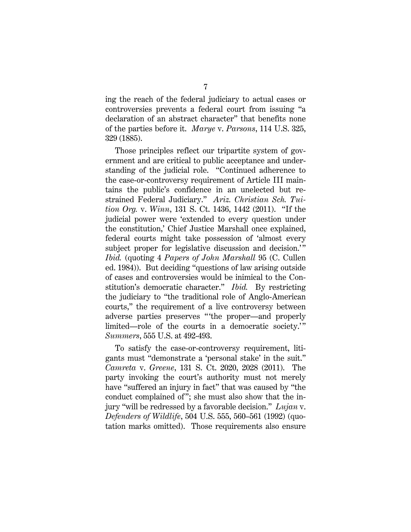ing the reach of the federal judiciary to actual cases or controversies prevents a federal court from issuing "a declaration of an abstract character" that benefits none of the parties before it. *Marye* v. *Parsons*, 114 U.S. 325, 329 (1885).

Those principles reflect our tripartite system of government and are critical to public acceptance and understanding of the judicial role. "Continued adherence to the case-or-controversy requirement of Article III maintains the public's confidence in an unelected but restrained Federal Judiciary." *Ariz. Christian Sch. Tuition Org.* v. *Winn*, 131 S. Ct. 1436, 1442 (2011). "If the judicial power were 'extended to every question under the constitution,' Chief Justice Marshall once explained, federal courts might take possession of 'almost every subject proper for legislative discussion and decision.'" *Ibid.* (quoting 4 *Papers of John Marshall* 95 (C. Cullen ed. 1984)). But deciding "questions of law arising outside of cases and controversies would be inimical to the Constitution's democratic character." *Ibid.* By restricting the judiciary to "the traditional role of Anglo-American courts," the requirement of a live controversy between adverse parties preserves " the proper—and properly limited—role of the courts in a democratic society.'" *Summers*, 555 U.S. at 492-493.

To satisfy the case-or-controversy requirement, litigants must "demonstrate a 'personal stake' in the suit." *Camreta* v. *Greene*, 131 S. Ct. 2020, 2028 (2011). The party invoking the court's authority must not merely have "suffered an injury in fact" that was caused by "the conduct complained of"; she must also show that the injury "will be redressed by a favorable decision." *Lujan* v. *Defenders of Wildlife*, 504 U.S. 555, 560–561 (1992) (quotation marks omitted). Those requirements also ensure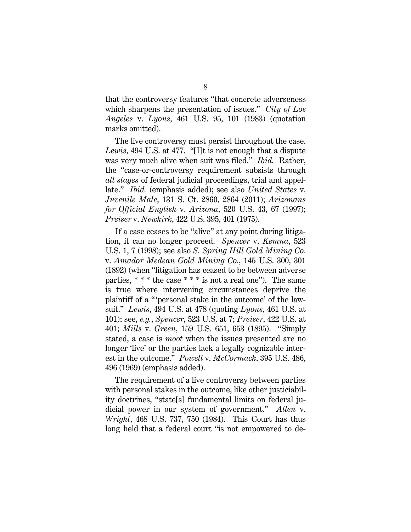that the controversy features "that concrete adverseness which sharpens the presentation of issues." *City of Los Angeles* v. *Lyons*, 461 U.S. 95, 101 (1983) (quotation marks omitted).

The live controversy must persist throughout the case. *Lewis*, 494 U.S. at 477. "[I]t is not enough that a dispute was very much alive when suit was filed." *Ibid.* Rather, the "case-or-controversy requirement subsists through *all stages* of federal judicial proceedings, trial and appellate." *Ibid.* (emphasis added); see also *United States* v. *Juvenile Male*, 131 S. Ct. 2860, 2864 (2011); *Arizonans for Official English* v. *Arizona*, 520 U.S. 43, 67 (1997); *Preiser* v. *Newkirk*, 422 U.S. 395, 401 (1975).

If a case ceases to be "alive" at any point during litigation, it can no longer proceed. *Spencer* v. *Kemna*, 523 U.S. 1, 7 (1998); see also *S. Spring Hill Gold Mining Co.* v. *Amador Medean Gold Mining Co.*, 145 U.S. 300, 301 (1892) (when "litigation has ceased to be between adverse parties,  $***$  the case  $***$  is not a real one"). The same is true where intervening circumstances deprive the plaintiff of a " 'personal stake in the outcome' of the lawsuit." *Lewis*, 494 U.S. at 478 (quoting *Lyons*, 461 U.S. at 101); see, *e.g.*, *Spencer*, 523 U.S. at 7; *Preiser*, 422 U.S. at 401; *Mills* v. *Green*, 159 U.S. 651, 653 (1895). "Simply stated, a case is *moot* when the issues presented are no longer 'live' or the parties lack a legally cognizable interest in the outcome." *Powell* v. *McCormack*, 395 U.S. 486, 496 (1969) (emphasis added).

The requirement of a live controversy between parties with personal stakes in the outcome, like other justiciability doctrines, "state[s] fundamental limits on federal judicial power in our system of government." *Allen* v. *Wright*, 468 U.S. 737, 750 (1984). This Court has thus long held that a federal court "is not empowered to de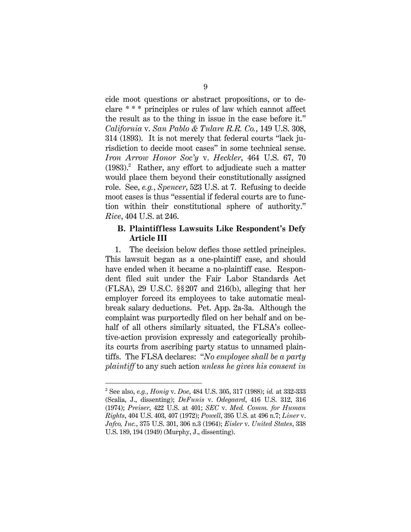cide moot questions or abstract propositions, or to declare \* \* \* principles or rules of law which cannot affect the result as to the thing in issue in the case before it." *California* v. *San Pablo & Tulare R.R. Co.*, 149 U.S. 308, 314 (1893). It is not merely that federal courts "lack jurisdiction to decide moot cases" in some technical sense. *Iron Arrow Honor Soc'y* v. *Heckler*, 464 U.S. 67, 70  $(1983).$ <sup>2</sup> Rather, any effort to adjudicate such a matter would place them beyond their constitutionally assigned role. See, *e.g.*, *Spencer*, 523 U.S. at 7. Refusing to decide moot cases is thus "essential if federal courts are to function within their constitutional sphere of authority." *Rice*, 404 U.S. at 246.

## **B. Plaintiffless Lawsuits Like Respondent's Defy Article III**

1. The decision below defies those settled principles. This lawsuit began as a one-plaintiff case, and should have ended when it became a no-plaintiff case. Respondent filed suit under the Fair Labor Standards Act (FLSA), 29 U.S.C. §§ 207 and 216(b), alleging that her employer forced its employees to take automatic mealbreak salary deductions. Pet. App. 2a-3a. Although the complaint was purportedly filed on her behalf and on behalf of all others similarly situated, the FLSA's collective-action provision expressly and categorically prohibits courts from ascribing party status to unnamed plaintiffs. The FLSA declares: "*No employee shall be a party plaintiff* to any such action *unless he gives his consent in* 

-

<sup>2</sup> See also, *e.g.*, *Honig* v. *Doe*, 484 U.S. 305, 317 (1988); *id.* at 332-333 (Scalia, J., dissenting); *DeFunis* v. *Odegaard*, 416 U.S. 312, 316 (1974); *Preiser*, 422 U.S. at 401; *SEC* v. *Med. Comm. for Human Rights*, 404 U.S. 403, 407 (1972); *Powell*, 395 U.S. at 496 n.7; *Liner* v. *Jafco, Inc.*, 375 U.S. 301, 306 n.3 (1964); *Eisler* v. *United States*, 338 U.S. 189, 194 (1949) (Murphy, J., dissenting).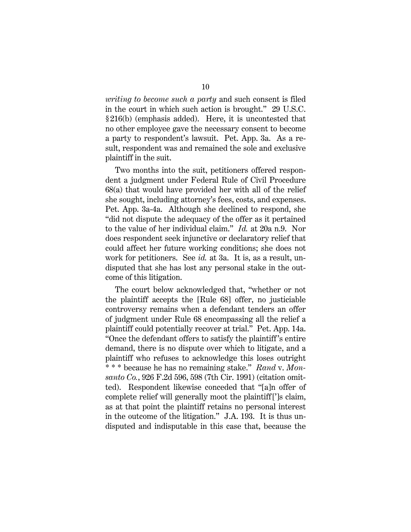*writing to become such a party* and such consent is filed in the court in which such action is brought." 29 U.S.C. § 216(b) (emphasis added). Here, it is uncontested that no other employee gave the necessary consent to become a party to respondent's lawsuit. Pet. App. 3a. As a result, respondent was and remained the sole and exclusive plaintiff in the suit.

Two months into the suit, petitioners offered respondent a judgment under Federal Rule of Civil Procedure 68(a) that would have provided her with all of the relief she sought, including attorney's fees, costs, and expenses. Pet. App. 3a-4a. Although she declined to respond, she "did not dispute the adequacy of the offer as it pertained to the value of her individual claim." *Id.* at 20a n.9. Nor does respondent seek injunctive or declaratory relief that could affect her future working conditions; she does not work for petitioners. See *id.* at 3a. It is, as a result, undisputed that she has lost any personal stake in the outcome of this litigation.

The court below acknowledged that, "whether or not the plaintiff accepts the [Rule 68] offer, no justiciable controversy remains when a defendant tenders an offer of judgment under Rule 68 encompassing all the relief a plaintiff could potentially recover at trial." Pet. App. 14a. "Once the defendant offers to satisfy the plaintiff 's entire demand, there is no dispute over which to litigate, and a plaintiff who refuses to acknowledge this loses outright \* \* \* because he has no remaining stake." *Rand* v. *Monsanto Co.*, 926 F.2d 596, 598 (7th Cir. 1991) (citation omitted). Respondent likewise conceded that "[a]n offer of complete relief will generally moot the plaintiff [']s claim, as at that point the plaintiff retains no personal interest in the outcome of the litigation." J.A. 193. It is thus undisputed and indisputable in this case that, because the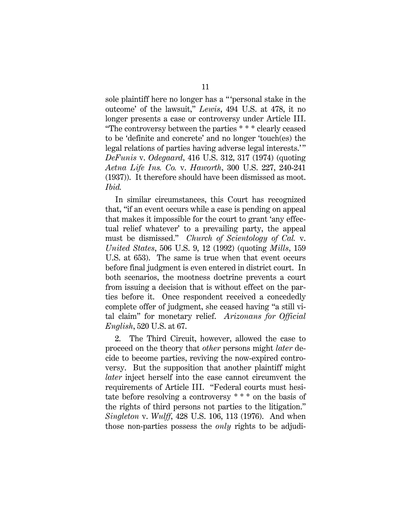sole plaintiff here no longer has a "personal stake in the outcome' of the lawsuit," *Lewis*, 494 U.S. at 478, it no longer presents a case or controversy under Article III. "The controversy between the parties \* \* \* clearly ceased to be 'definite and concrete' and no longer 'touch(es) the legal relations of parties having adverse legal interests." *DeFunis* v. *Odegaard*, 416 U.S. 312, 317 (1974) (quoting *Aetna Life Ins. Co.* v. *Haworth*, 300 U.S. 227, 240-241 (1937)). It therefore should have been dismissed as moot. *Ibid.*

In similar circumstances, this Court has recognized that, "if an event occurs while a case is pending on appeal that makes it impossible for the court to grant 'any effectual relief whatever' to a prevailing party, the appeal must be dismissed." *Church of Scientology of Cal.* v. *United States*, 506 U.S. 9, 12 (1992) (quoting *Mills*, 159 U.S. at 653). The same is true when that event occurs before final judgment is even entered in district court. In both scenarios, the mootness doctrine prevents a court from issuing a decision that is without effect on the parties before it. Once respondent received a concededly complete offer of judgment, she ceased having "a still vital claim" for monetary relief. *Arizonans for Official English*, 520 U.S. at 67.

2. The Third Circuit, however, allowed the case to proceed on the theory that *other* persons might *later* decide to become parties, reviving the now-expired controversy. But the supposition that another plaintiff might *later* inject herself into the case cannot circumvent the requirements of Article III. "Federal courts must hesitate before resolving a controversy \* \* \* on the basis of the rights of third persons not parties to the litigation." *Singleton* v. *Wulff*, 428 U.S. 106, 113 (1976). And when those non-parties possess the *only* rights to be adjudi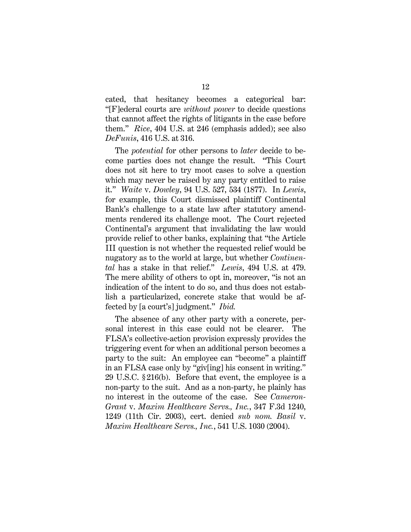cated, that hesitancy becomes a categorical bar: "[F]ederal courts are *without power* to decide questions that cannot affect the rights of litigants in the case before them." *Rice*, 404 U.S. at 246 (emphasis added); see also *DeFunis*, 416 U.S. at 316.

The *potential* for other persons to *later* decide to become parties does not change the result. "This Court does not sit here to try moot cases to solve a question which may never be raised by any party entitled to raise it." *Waite* v. *Dowley*, 94 U.S. 527, 534 (1877). In *Lewis*, for example, this Court dismissed plaintiff Continental Bank's challenge to a state law after statutory amendments rendered its challenge moot. The Court rejected Continental's argument that invalidating the law would provide relief to other banks, explaining that "the Article III question is not whether the requested relief would be nugatory as to the world at large, but whether *Continental* has a stake in that relief." *Lewis*, 494 U.S. at 479. The mere ability of others to opt in, moreover, "is not an indication of the intent to do so, and thus does not establish a particularized, concrete stake that would be affected by [a court's] judgment." *Ibid.* 

The absence of any other party with a concrete, personal interest in this case could not be clearer. The FLSA's collective-action provision expressly provides the triggering event for when an additional person becomes a party to the suit: An employee can "become" a plaintiff in an FLSA case only by "giv[ing] his consent in writing." 29 U.S.C. § 216(b). Before that event, the employee is a non-party to the suit. And as a non-party, he plainly has no interest in the outcome of the case. See *Cameron-Grant* v. *Maxim Healthcare Servs., Inc.*, 347 F.3d 1240, 1249 (11th Cir. 2003), cert. denied *sub nom. Basil* v. *Maxim Healthcare Servs., Inc.*, 541 U.S. 1030 (2004).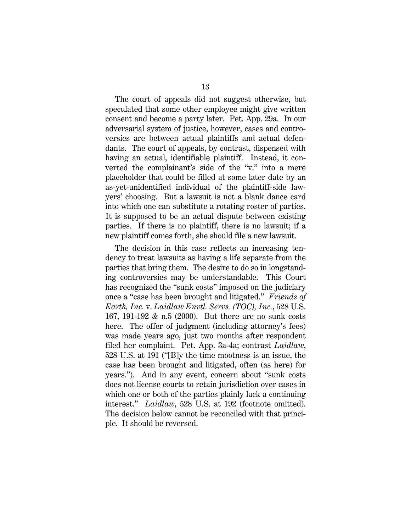The court of appeals did not suggest otherwise, but speculated that some other employee might give written consent and become a party later. Pet. App. 29a. In our adversarial system of justice, however, cases and controversies are between actual plaintiffs and actual defendants. The court of appeals, by contrast, dispensed with having an actual, identifiable plaintiff. Instead, it converted the complainant's side of the "v." into a mere placeholder that could be filled at some later date by an as-yet-unidentified individual of the plaintiff-side lawyers' choosing. But a lawsuit is not a blank dance card into which one can substitute a rotating roster of parties. It is supposed to be an actual dispute between existing parties. If there is no plaintiff, there is no lawsuit; if a new plaintiff comes forth, she should file a new lawsuit.

The decision in this case reflects an increasing tendency to treat lawsuits as having a life separate from the parties that bring them. The desire to do so in longstanding controversies may be understandable. This Court has recognized the "sunk costs" imposed on the judiciary once a "case has been brought and litigated." *Friends of Earth, Inc.* v. *Laidlaw Envtl. Servs. (TOC), Inc.*, 528 U.S. 167, 191-192 & n.5 (2000). But there are no sunk costs here. The offer of judgment (including attorney's fees) was made years ago, just two months after respondent filed her complaint. Pet. App. 3a-4a; contrast *Laidlaw*, 528 U.S. at 191 ("[B]y the time mootness is an issue, the case has been brought and litigated, often (as here) for years."). And in any event, concern about "sunk costs does not license courts to retain jurisdiction over cases in which one or both of the parties plainly lack a continuing interest." *Laidlaw*, 528 U.S. at 192 (footnote omitted). The decision below cannot be reconciled with that principle. It should be reversed.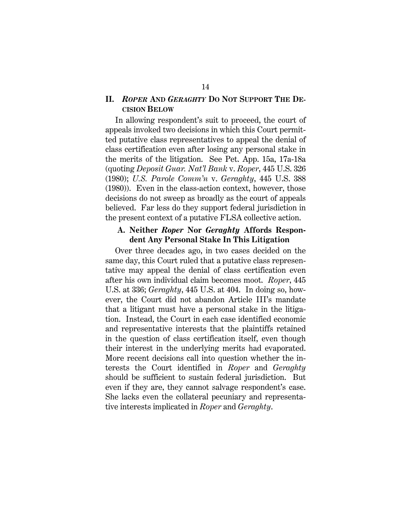#### **II.** *ROPER* **AND** *GERAGHTY* **DO NOT SUPPORT THE DE-CISION BELOW**

In allowing respondent's suit to proceed, the court of appeals invoked two decisions in which this Court permitted putative class representatives to appeal the denial of class certification even after losing any personal stake in the merits of the litigation. See Pet. App. 15a, 17a-18a (quoting *Deposit Guar. Nat'l Bank* v. *Roper*, 445 U.S. 326 (1980); *U.S. Parole Comm'n* v. *Geraghty*, 445 U.S. 388 (1980)). Even in the class-action context, however, those decisions do not sweep as broadly as the court of appeals believed. Far less do they support federal jurisdiction in the present context of a putative FLSA collective action.

#### **A. Neither** *Roper* **Nor** *Geraghty* **Affords Respondent Any Personal Stake In This Litigation**

Over three decades ago, in two cases decided on the same day, this Court ruled that a putative class representative may appeal the denial of class certification even after his own individual claim becomes moot. *Roper*, 445 U.S. at 336; *Geraghty*, 445 U.S. at 404. In doing so, however, the Court did not abandon Article III's mandate that a litigant must have a personal stake in the litigation. Instead, the Court in each case identified economic and representative interests that the plaintiffs retained in the question of class certification itself, even though their interest in the underlying merits had evaporated. More recent decisions call into question whether the interests the Court identified in *Roper* and *Geraghty*  should be sufficient to sustain federal jurisdiction. But even if they are, they cannot salvage respondent's case. She lacks even the collateral pecuniary and representative interests implicated in *Roper* and *Geraghty*.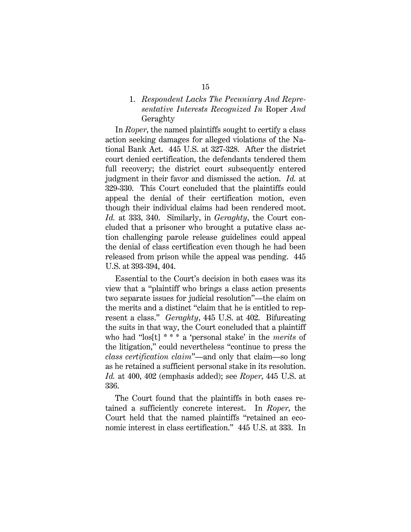#### 1. *Respondent Lacks The Pecuniary And Representative Interests Recognized In* Roper *And*  Geraghty

In *Roper*, the named plaintiffs sought to certify a class action seeking damages for alleged violations of the National Bank Act. 445 U.S. at 327-328. After the district court denied certification, the defendants tendered them full recovery; the district court subsequently entered judgment in their favor and dismissed the action. *Id.* at 329-330. This Court concluded that the plaintiffs could appeal the denial of their certification motion, even though their individual claims had been rendered moot. *Id.* at 333, 340. Similarly, in *Geraghty*, the Court concluded that a prisoner who brought a putative class action challenging parole release guidelines could appeal the denial of class certification even though he had been released from prison while the appeal was pending. 445 U.S. at 393-394, 404.

Essential to the Court's decision in both cases was its view that a "plaintiff who brings a class action presents two separate issues for judicial resolution"—the claim on the merits and a distinct "claim that he is entitled to represent a class." *Geraghty*, 445 U.S. at 402. Bifurcating the suits in that way, the Court concluded that a plaintiff who had "los[t] \* \* \* a 'personal stake' in the *merits* of the litigation," could nevertheless "continue to press the *class certification claim*"—and only that claim—so long as he retained a sufficient personal stake in its resolution. *Id.* at 400, 402 (emphasis added); see *Roper*, 445 U.S. at 336.

The Court found that the plaintiffs in both cases retained a sufficiently concrete interest. In *Roper*, the Court held that the named plaintiffs "retained an economic interest in class certification." 445 U.S. at 333. In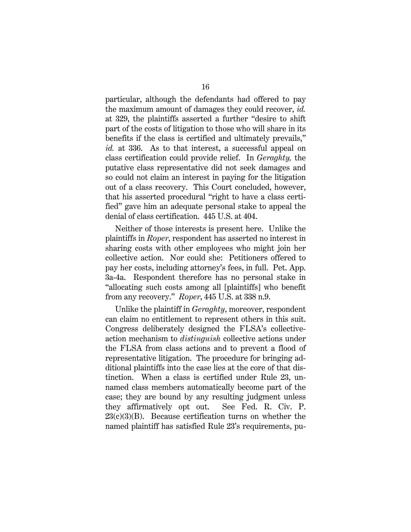particular, although the defendants had offered to pay the maximum amount of damages they could recover, *id.* at 329, the plaintiffs asserted a further "desire to shift part of the costs of litigation to those who will share in its benefits if the class is certified and ultimately prevails," *id.* at 336. As to that interest, a successful appeal on class certification could provide relief. In *Geraghty,* the putative class representative did not seek damages and so could not claim an interest in paying for the litigation out of a class recovery. This Court concluded, however, that his asserted procedural "right to have a class certified" gave him an adequate personal stake to appeal the denial of class certification. 445 U.S. at 404.

Neither of those interests is present here. Unlike the plaintiffs in *Roper*, respondent has asserted no interest in sharing costs with other employees who might join her collective action. Nor could she: Petitioners offered to pay her costs, including attorney's fees, in full. Pet. App. 3a-4a. Respondent therefore has no personal stake in "allocating such costs among all [plaintiffs] who benefit from any recovery." *Roper*, 445 U.S. at 338 n.9.

Unlike the plaintiff in *Geraghty*, moreover, respondent can claim no entitlement to represent others in this suit. Congress deliberately designed the FLSA's collectiveaction mechanism to *distinguish* collective actions under the FLSA from class actions and to prevent a flood of representative litigation. The procedure for bringing additional plaintiffs into the case lies at the core of that distinction. When a class is certified under Rule 23, unnamed class members automatically become part of the case; they are bound by any resulting judgment unless they affirmatively opt out. See Fed. R. Civ. P.  $23(c)(3)(B)$ . Because certification turns on whether the named plaintiff has satisfied Rule 23's requirements, pu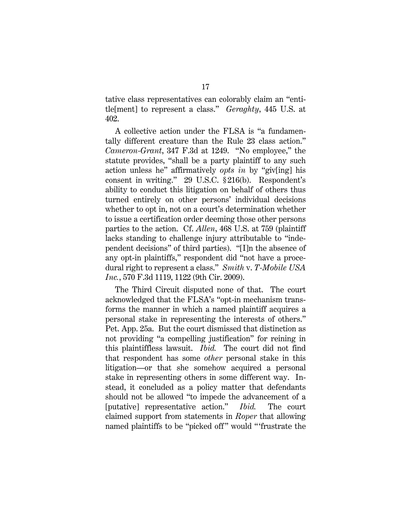tative class representatives can colorably claim an "entitle[ment] to represent a class." *Geraghty*, 445 U.S. at 402.

A collective action under the FLSA is "a fundamentally different creature than the Rule 23 class action." *Cameron-Grant*, 347 F.3d at 1249. "No employee," the statute provides, "shall be a party plaintiff to any such action unless he" affirmatively *opts in* by "giv[ing] his consent in writing." 29 U.S.C. § 216(b). Respondent's ability to conduct this litigation on behalf of others thus turned entirely on other persons' individual decisions whether to opt in, not on a court's determination whether to issue a certification order deeming those other persons parties to the action. Cf. *Allen*, 468 U.S. at 759 (plaintiff lacks standing to challenge injury attributable to "independent decisions" of third parties). "[I]n the absence of any opt-in plaintiffs," respondent did "not have a procedural right to represent a class." *Smith* v. *T-Mobile USA Inc.*, 570 F.3d 1119, 1122 (9th Cir. 2009).

The Third Circuit disputed none of that. The court acknowledged that the FLSA's "opt-in mechanism transforms the manner in which a named plaintiff acquires a personal stake in representing the interests of others." Pet. App. 25a. But the court dismissed that distinction as not providing "a compelling justification" for reining in this plaintiffless lawsuit. *Ibid.* The court did not find that respondent has some *other* personal stake in this litigation—or that she somehow acquired a personal stake in representing others in some different way. Instead, it concluded as a policy matter that defendants should not be allowed "to impede the advancement of a [putative] representative action." *Ibid.* The court claimed support from statements in *Roper* that allowing named plaintiffs to be "picked off" would "'frustrate the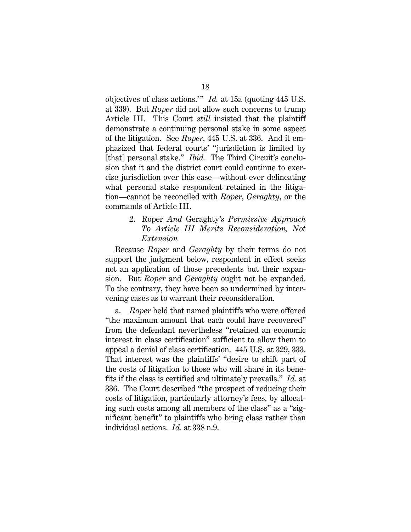objectives of class actions.'" *Id.* at 15a (quoting 445 U.S. at 339). But *Roper* did not allow such concerns to trump Article III. This Court *still* insisted that the plaintiff demonstrate a continuing personal stake in some aspect of the litigation. See *Roper*, 445 U.S. at 336. And it emphasized that federal courts' "jurisdiction is limited by [that] personal stake." *Ibid.* The Third Circuit's conclusion that it and the district court could continue to exercise jurisdiction over this case—without ever delineating what personal stake respondent retained in the litigation—cannot be reconciled with *Roper*, *Geraghty*, or the commands of Article III.

### 2. Roper *And* Geraghty*'s Permissive Approach To Article III Merits Reconsideration, Not Extension*

Because *Roper* and *Geraghty* by their terms do not support the judgment below, respondent in effect seeks not an application of those precedents but their expansion. But *Roper* and *Geraghty* ought not be expanded. To the contrary, they have been so undermined by intervening cases as to warrant their reconsideration.

a. *Roper* held that named plaintiffs who were offered "the maximum amount that each could have recovered" from the defendant nevertheless "retained an economic interest in class certification" sufficient to allow them to appeal a denial of class certification. 445 U.S. at 329, 333. That interest was the plaintiffs' "desire to shift part of the costs of litigation to those who will share in its benefits if the class is certified and ultimately prevails." *Id.* at 336. The Court described "the prospect of reducing their costs of litigation, particularly attorney's fees, by allocating such costs among all members of the class" as a "significant benefit" to plaintiffs who bring class rather than individual actions. *Id.* at 338 n.9.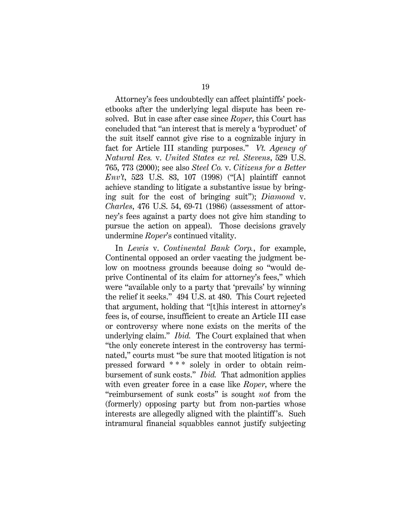Attorney's fees undoubtedly can affect plaintiffs' pocketbooks after the underlying legal dispute has been resolved. But in case after case since *Roper*, this Court has concluded that "an interest that is merely a 'byproduct' of the suit itself cannot give rise to a cognizable injury in fact for Article III standing purposes." *Vt. Agency of Natural Res.* v. *United States ex rel. Stevens*, 529 U.S. 765, 773 (2000); see also *Steel Co.* v. *Citizens for a Better Env't*, 523 U.S. 83, 107 (1998) ("[A] plaintiff cannot achieve standing to litigate a substantive issue by bringing suit for the cost of bringing suit"); *Diamond* v. *Charles*, 476 U.S. 54, 69-71 (1986) (assessment of attorney's fees against a party does not give him standing to pursue the action on appeal). Those decisions gravely undermine *Roper*'s continued vitality.

In *Lewis* v. *Continental Bank Corp.*, for example, Continental opposed an order vacating the judgment below on mootness grounds because doing so "would deprive Continental of its claim for attorney's fees," which were "available only to a party that 'prevails' by winning the relief it seeks." 494 U.S. at 480. This Court rejected that argument, holding that "[t]his interest in attorney's fees is, of course, insufficient to create an Article III case or controversy where none exists on the merits of the underlying claim." *Ibid.* The Court explained that when "the only concrete interest in the controversy has terminated," courts must "be sure that mooted litigation is not pressed forward \* \* \* solely in order to obtain reimbursement of sunk costs." *Ibid.* That admonition applies with even greater force in a case like *Roper*, where the "reimbursement of sunk costs" is sought *not* from the (formerly) opposing party but from non-parties whose interests are allegedly aligned with the plaintiff 's. Such intramural financial squabbles cannot justify subjecting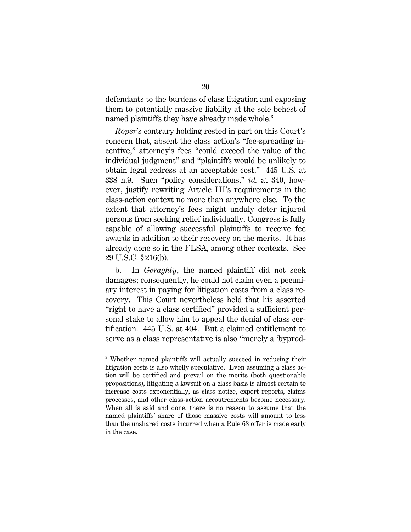defendants to the burdens of class litigation and exposing them to potentially massive liability at the sole behest of named plaintiffs they have already made whole.<sup>3</sup>

*Roper*'s contrary holding rested in part on this Court's concern that, absent the class action's "fee-spreading incentive," attorney's fees "could exceed the value of the individual judgment" and "plaintiffs would be unlikely to obtain legal redress at an acceptable cost." 445 U.S. at 338 n.9. Such "policy considerations," *id.* at 340, however, justify rewriting Article III's requirements in the class-action context no more than anywhere else. To the extent that attorney's fees might unduly deter injured persons from seeking relief individually, Congress is fully capable of allowing successful plaintiffs to receive fee awards in addition to their recovery on the merits. It has already done so in the FLSA, among other contexts. See 29 U.S.C. § 216(b).

b. In *Geraghty*, the named plaintiff did not seek damages; consequently, he could not claim even a pecuniary interest in paying for litigation costs from a class recovery. This Court nevertheless held that his asserted "right to have a class certified" provided a sufficient personal stake to allow him to appeal the denial of class certification. 445 U.S. at 404. But a claimed entitlement to serve as a class representative is also "merely a 'byprod-

-

<sup>&</sup>lt;sup>3</sup> Whether named plaintiffs will actually succeed in reducing their litigation costs is also wholly speculative. Even assuming a class action will be certified and prevail on the merits (both questionable propositions), litigating a lawsuit on a class basis is almost certain to increase costs exponentially, as class notice, expert reports, claims processes, and other class-action accoutrements become necessary. When all is said and done, there is no reason to assume that the named plaintiffs' share of those massive costs will amount to less than the unshared costs incurred when a Rule 68 offer is made early in the case.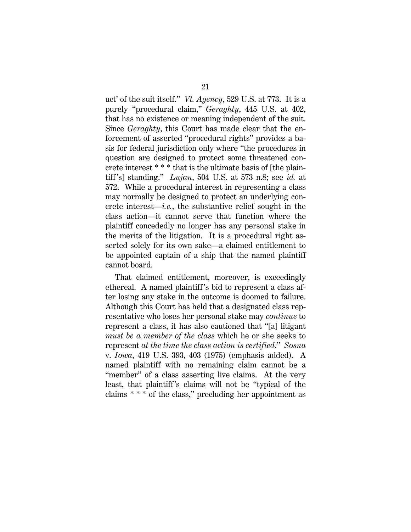uct' of the suit itself." *Vt. Agency*, 529 U.S. at 773. It is a purely "procedural claim," *Geraghty*, 445 U.S. at 402, that has no existence or meaning independent of the suit. Since *Geraghty*, this Court has made clear that the enforcement of asserted "procedural rights" provides a basis for federal jurisdiction only where "the procedures in question are designed to protect some threatened concrete interest \* \* \* that is the ultimate basis of [the plaintiff 's] standing." *Lujan*, 504 U.S. at 573 n.8; see *id.* at 572. While a procedural interest in representing a class may normally be designed to protect an underlying concrete interest—*i.e.*, the substantive relief sought in the class action—it cannot serve that function where the plaintiff concededly no longer has any personal stake in the merits of the litigation. It is a procedural right asserted solely for its own sake—a claimed entitlement to be appointed captain of a ship that the named plaintiff cannot board.

That claimed entitlement, moreover, is exceedingly ethereal. A named plaintiff 's bid to represent a class after losing any stake in the outcome is doomed to failure. Although this Court has held that a designated class representative who loses her personal stake may *continue* to represent a class, it has also cautioned that "[a] litigant *must be a member of the class* which he or she seeks to represent *at the time the class action is certified*." *Sosna*  v. *Iowa*, 419 U.S. 393, 403 (1975) (emphasis added). A named plaintiff with no remaining claim cannot be a "member" of a class asserting live claims. At the very least, that plaintiff's claims will not be "typical of the claims \* \* \* of the class," precluding her appointment as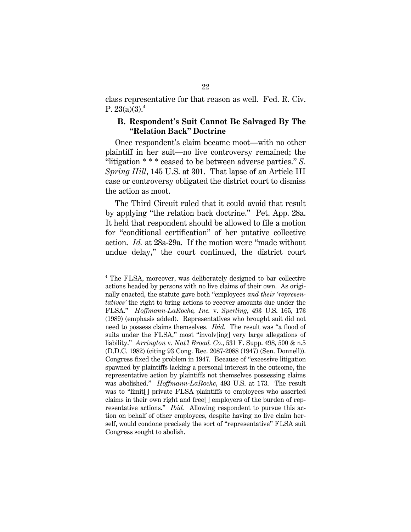class representative for that reason as well. Fed. R. Civ. P.  $23(a)(3).4$ 

### **B. Respondent's Suit Cannot Be Salvaged By The "Relation Back" Doctrine**

Once respondent's claim became moot—with no other plaintiff in her suit—no live controversy remained; the "litigation \* \* \* ceased to be between adverse parties." *S. Spring Hill*, 145 U.S. at 301. That lapse of an Article III case or controversy obligated the district court to dismiss the action as moot.

The Third Circuit ruled that it could avoid that result by applying "the relation back doctrine." Pet. App. 28a. It held that respondent should be allowed to file a motion for "conditional certification" of her putative collective action. *Id.* at 28a-29a. If the motion were "made without undue delay," the court continued, the district court

<u>.</u>

<sup>&</sup>lt;sup>4</sup> The FLSA, moreover, was deliberately designed to bar collective actions headed by persons with no live claims of their own. As originally enacted, the statute gave both "employees *and their 'representatives'* the right to bring actions to recover amounts due under the FLSA." *Hoffmann-LaRoche, Inc.* v. *Sperling*, 493 U.S. 165, 173 (1989) (emphasis added). Representatives who brought suit did not need to possess claims themselves. *Ibid.* The result was "a flood of suits under the FLSA," most "involv[ing] very large allegations of liability." *Arrington* v. *Nat'l Broad. Co.*, 531 F. Supp. 498, 500 & n.5 (D.D.C. 1982) (citing 93 Cong. Rec. 2087-2088 (1947) (Sen. Donnell)). Congress fixed the problem in 1947. Because of "excessive litigation spawned by plaintiffs lacking a personal interest in the outcome, the representative action by plaintiffs not themselves possessing claims was abolished." *Hoffmann-LaRoche*, 493 U.S. at 173. The result was to "limit[ ] private FLSA plaintiffs to employees who asserted claims in their own right and free[ ] employers of the burden of representative actions." *Ibid.* Allowing respondent to pursue this action on behalf of other employees, despite having no live claim herself, would condone precisely the sort of "representative" FLSA suit Congress sought to abolish.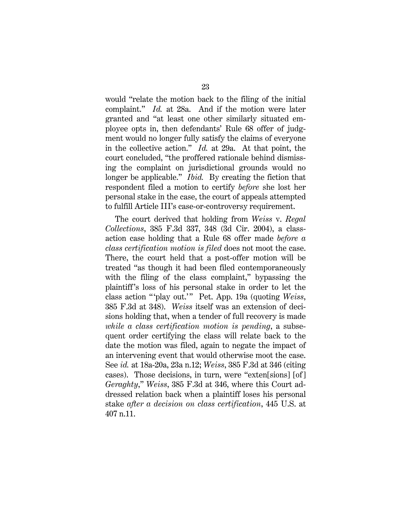would "relate the motion back to the filing of the initial complaint." *Id.* at 28a. And if the motion were later granted and "at least one other similarly situated employee opts in, then defendants' Rule 68 offer of judgment would no longer fully satisfy the claims of everyone in the collective action." *Id.* at 29a. At that point, the court concluded, "the proffered rationale behind dismissing the complaint on jurisdictional grounds would no longer be applicable." *Ibid.* By creating the fiction that respondent filed a motion to certify *before* she lost her personal stake in the case, the court of appeals attempted to fulfill Article III's case-or-controversy requirement.

The court derived that holding from *Weiss* v. *Regal Collections*, 385 F.3d 337, 348 (3d Cir. 2004), a classaction case holding that a Rule 68 offer made *before a class certification motion is filed* does not moot the case. There, the court held that a post-offer motion will be treated "as though it had been filed contemporaneously with the filing of the class complaint," bypassing the plaintiff 's loss of his personal stake in order to let the class action " 'play out.' " Pet. App. 19a (quoting *Weiss*, 385 F.3d at 348). *Weiss* itself was an extension of decisions holding that, when a tender of full recovery is made *while a class certification motion is pending*, a subsequent order certifying the class will relate back to the date the motion was filed, again to negate the impact of an intervening event that would otherwise moot the case. See *id.* at 18a-20a, 23a n.12; *Weiss*, 385 F.3d at 346 (citing cases). Those decisions, in turn, were "exten[sions] [of] *Geraghty*," *Weiss*, 385 F.3d at 346, where this Court addressed relation back when a plaintiff loses his personal stake *after a decision on class certification*, 445 U.S. at 407 n.11.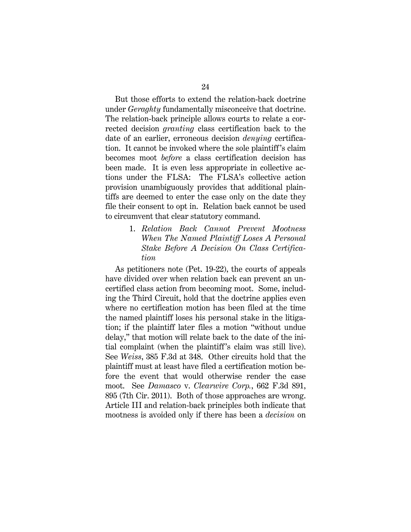But those efforts to extend the relation-back doctrine under *Geraghty* fundamentally misconceive that doctrine. The relation-back principle allows courts to relate a corrected decision *granting* class certification back to the date of an earlier, erroneous decision *denying* certification. It cannot be invoked where the sole plaintiff 's claim becomes moot *before* a class certification decision has been made. It is even less appropriate in collective actions under the FLSA: The FLSA's collective action provision unambiguously provides that additional plaintiffs are deemed to enter the case only on the date they file their consent to opt in. Relation back cannot be used to circumvent that clear statutory command.

> 1. *Relation Back Cannot Prevent Mootness When The Named Plaintiff Loses A Personal Stake Before A Decision On Class Certification*

As petitioners note (Pet. 19-22), the courts of appeals have divided over when relation back can prevent an uncertified class action from becoming moot. Some, including the Third Circuit, hold that the doctrine applies even where no certification motion has been filed at the time the named plaintiff loses his personal stake in the litigation; if the plaintiff later files a motion "without undue delay," that motion will relate back to the date of the initial complaint (when the plaintiff 's claim was still live). See *Weiss*, 385 F.3d at 348. Other circuits hold that the plaintiff must at least have filed a certification motion before the event that would otherwise render the case moot. See *Damasco* v. *Clearwire Corp.*, 662 F.3d 891, 895 (7th Cir. 2011). Both of those approaches are wrong. Article III and relation-back principles both indicate that mootness is avoided only if there has been a *decision* on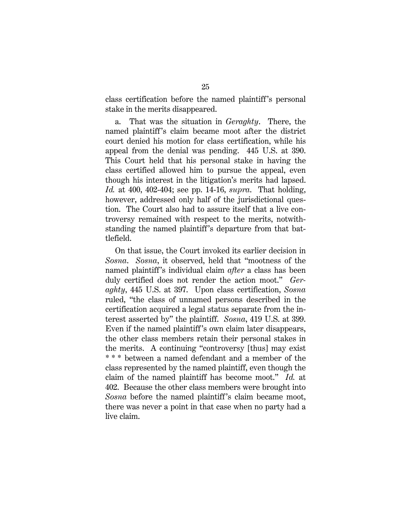class certification before the named plaintiff 's personal stake in the merits disappeared.

a. That was the situation in *Geraghty*. There, the named plaintiff's claim became moot after the district court denied his motion for class certification, while his appeal from the denial was pending. 445 U.S. at 390. This Court held that his personal stake in having the class certified allowed him to pursue the appeal, even though his interest in the litigation's merits had lapsed. *Id.* at 400, 402-404; see pp. 14-16, *supra*. That holding, however, addressed only half of the jurisdictional question. The Court also had to assure itself that a live controversy remained with respect to the merits, notwithstanding the named plaintiff 's departure from that battlefield.

On that issue, the Court invoked its earlier decision in *Sosna*. *Sosna*, it observed, held that "mootness of the named plaintiff 's individual claim *after* a class has been duly certified does not render the action moot." *Geraghty*, 445 U.S. at 397. Upon class certification, *Sosna*  ruled, "the class of unnamed persons described in the certification acquired a legal status separate from the interest asserted by" the plaintiff. *Sosna*, 419 U.S. at 399. Even if the named plaintiff 's own claim later disappears, the other class members retain their personal stakes in the merits. A continuing "controversy [thus] may exist \* \* \* between a named defendant and a member of the class represented by the named plaintiff, even though the claim of the named plaintiff has become moot." *Id.* at 402. Because the other class members were brought into *Sosna* before the named plaintiff's claim became moot, there was never a point in that case when no party had a live claim.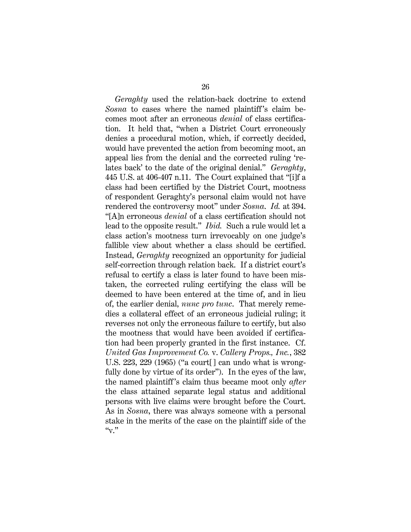*Geraghty* used the relation-back doctrine to extend *Sosna* to cases where the named plaintiff's claim becomes moot after an erroneous *denial* of class certification. It held that, "when a District Court erroneously denies a procedural motion, which, if correctly decided, would have prevented the action from becoming moot, an appeal lies from the denial and the corrected ruling 'relates back' to the date of the original denial." *Geraghty*, 445 U.S. at 406-407 n.11. The Court explained that "[i]f a class had been certified by the District Court, mootness of respondent Geraghty's personal claim would not have rendered the controversy moot" under *Sosna*. *Id.* at 394. "[A]n erroneous *denial* of a class certification should not lead to the opposite result." *Ibid.* Such a rule would let a class action's mootness turn irrevocably on one judge's fallible view about whether a class should be certified. Instead, *Geraghty* recognized an opportunity for judicial self-correction through relation back. If a district court's refusal to certify a class is later found to have been mistaken, the corrected ruling certifying the class will be deemed to have been entered at the time of, and in lieu of, the earlier denial, *nunc pro tunc*. That merely remedies a collateral effect of an erroneous judicial ruling; it reverses not only the erroneous failure to certify, but also the mootness that would have been avoided if certification had been properly granted in the first instance. Cf. *United Gas Improvement Co.* v. *Callery Props., Inc.*, 382 U.S. 223, 229 (1965) ("a court[] can undo what is wrongfully done by virtue of its order"). In the eyes of the law, the named plaintiff 's claim thus became moot only *after*  the class attained separate legal status and additional persons with live claims were brought before the Court. As in *Sosna*, there was always someone with a personal stake in the merits of the case on the plaintiff side of the  $``<sub>V</sub>$ ."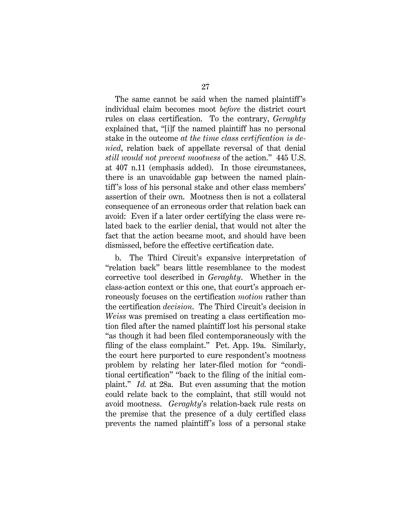The same cannot be said when the named plaintiff 's individual claim becomes moot *before* the district court rules on class certification. To the contrary, *Geraghty*  explained that, "[i]f the named plaintiff has no personal stake in the outcome *at the time class certification is denied*, relation back of appellate reversal of that denial *still would not prevent mootness* of the action." 445 U.S. at 407 n.11 (emphasis added). In those circumstances, there is an unavoidable gap between the named plaintiff's loss of his personal stake and other class members' assertion of their own. Mootness then is not a collateral consequence of an erroneous order that relation back can avoid: Even if a later order certifying the class were related back to the earlier denial, that would not alter the fact that the action became moot, and should have been dismissed, before the effective certification date.

b. The Third Circuit's expansive interpretation of "relation back" bears little resemblance to the modest corrective tool described in *Geraghty*. Whether in the class-action context or this one, that court's approach erroneously focuses on the certification *motion* rather than the certification *decision*. The Third Circuit's decision in *Weiss* was premised on treating a class certification motion filed after the named plaintiff lost his personal stake "as though it had been filed contemporaneously with the filing of the class complaint." Pet. App. 19a. Similarly, the court here purported to cure respondent's mootness problem by relating her later-filed motion for "conditional certification" "back to the filing of the initial complaint." *Id.* at 28a. But even assuming that the motion could relate back to the complaint, that still would not avoid mootness. *Geraghty*'s relation-back rule rests on the premise that the presence of a duly certified class prevents the named plaintiff 's loss of a personal stake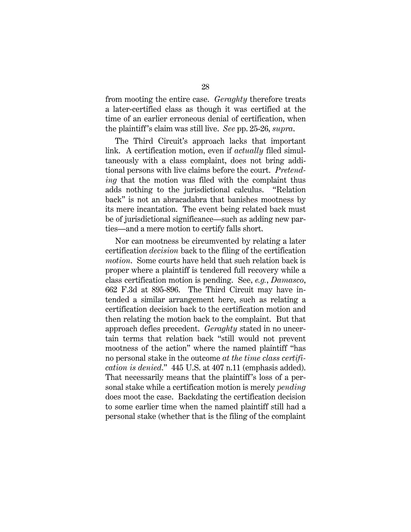from mooting the entire case. *Geraghty* therefore treats a later-certified class as though it was certified at the time of an earlier erroneous denial of certification, when the plaintiff 's claim was still live. *See* pp. 25-26, *supra*.

The Third Circuit's approach lacks that important link. A certification motion, even if *actually* filed simultaneously with a class complaint, does not bring additional persons with live claims before the court. *Pretending* that the motion was filed with the complaint thus adds nothing to the jurisdictional calculus. "Relation back" is not an abracadabra that banishes mootness by its mere incantation. The event being related back must be of jurisdictional significance—such as adding new parties—and a mere motion to certify falls short.

Nor can mootness be circumvented by relating a later certification *decision* back to the filing of the certification *motion*. Some courts have held that such relation back is proper where a plaintiff is tendered full recovery while a class certification motion is pending. See, *e.g.*, *Damasco*, 662 F.3d at 895-896. The Third Circuit may have intended a similar arrangement here, such as relating a certification decision back to the certification motion and then relating the motion back to the complaint. But that approach defies precedent. *Geraghty* stated in no uncertain terms that relation back "still would not prevent mootness of the action" where the named plaintiff "has no personal stake in the outcome *at the time class certification is denied*." 445 U.S. at 407 n.11 (emphasis added). That necessarily means that the plaintiff 's loss of a personal stake while a certification motion is merely *pending*  does moot the case. Backdating the certification decision to some earlier time when the named plaintiff still had a personal stake (whether that is the filing of the complaint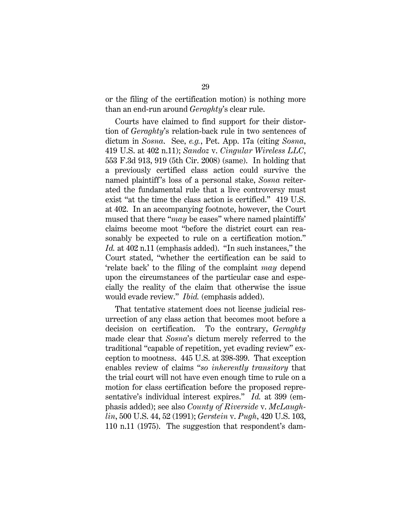or the filing of the certification motion) is nothing more than an end-run around *Geraghty*'s clear rule.

Courts have claimed to find support for their distortion of *Geraghty*'s relation-back rule in two sentences of dictum in *Sosna*. See, *e.g.*, Pet. App. 17a (citing *Sosna*, 419 U.S. at 402 n.11); *Sandoz* v. *Cingular Wireless LLC*, 553 F.3d 913, 919 (5th Cir. 2008) (same). In holding that a previously certified class action could survive the named plaintiff 's loss of a personal stake, *Sosna* reiterated the fundamental rule that a live controversy must exist "at the time the class action is certified." 419 U.S. at 402. In an accompanying footnote, however, the Court mused that there "*may* be cases" where named plaintiffs' claims become moot "before the district court can reasonably be expected to rule on a certification motion." *Id.* at 402 n.11 (emphasis added). "In such instances," the Court stated, "whether the certification can be said to 'relate back' to the filing of the complaint *may* depend upon the circumstances of the particular case and especially the reality of the claim that otherwise the issue would evade review." *Ibid.* (emphasis added).

That tentative statement does not license judicial resurrection of any class action that becomes moot before a decision on certification. To the contrary, *Geraghty* made clear that *Sosna*'s dictum merely referred to the traditional "capable of repetition, yet evading review" exception to mootness. 445 U.S. at 398-399. That exception enables review of claims "*so inherently transitory* that the trial court will not have even enough time to rule on a motion for class certification before the proposed representative's individual interest expires." *Id.* at 399 (emphasis added); see also *County of Riverside* v. *McLaughlin*, 500 U.S. 44, 52 (1991); *Gerstein* v. *Pugh*, 420 U.S. 103, 110 n.11 (1975). The suggestion that respondent's dam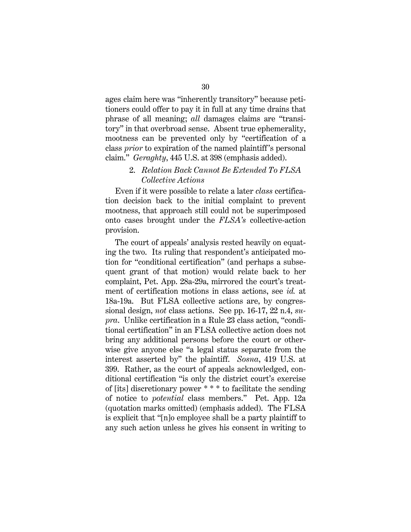ages claim here was "inherently transitory" because petitioners could offer to pay it in full at any time drains that phrase of all meaning; *all* damages claims are "transitory" in that overbroad sense. Absent true ephemerality, mootness can be prevented only by "certification of a class *prior* to expiration of the named plaintiff 's personal claim." *Geraghty*, 445 U.S. at 398 (emphasis added).

## 2. *Relation Back Cannot Be Extended To FLSA Collective Actions*

Even if it were possible to relate a later *class* certification decision back to the initial complaint to prevent mootness, that approach still could not be superimposed onto cases brought under the *FLSA's* collective-action provision.

The court of appeals' analysis rested heavily on equating the two. Its ruling that respondent's anticipated motion for "conditional certification" (and perhaps a subsequent grant of that motion) would relate back to her complaint, Pet. App. 28a-29a, mirrored the court's treatment of certification motions in class actions, see *id.* at 18a-19a. But FLSA collective actions are, by congressional design, *not* class actions. See pp. 16-17, 22 n.4, *supra*. Unlike certification in a Rule 23 class action, "conditional certification" in an FLSA collective action does not bring any additional persons before the court or otherwise give anyone else "a legal status separate from the interest asserted by" the plaintiff. *Sosna*, 419 U.S. at 399. Rather, as the court of appeals acknowledged, conditional certification "is only the district court's exercise of [its] discretionary power \* \* \* to facilitate the sending of notice to *potential* class members." Pet. App. 12a (quotation marks omitted) (emphasis added). The FLSA is explicit that "[n]o employee shall be a party plaintiff to any such action unless he gives his consent in writing to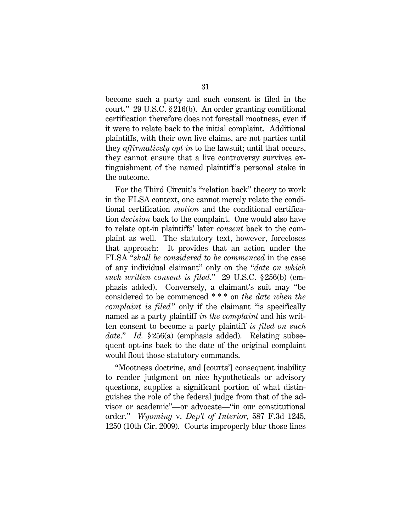become such a party and such consent is filed in the court." 29 U.S.C. § 216(b). An order granting conditional certification therefore does not forestall mootness, even if it were to relate back to the initial complaint. Additional plaintiffs, with their own live claims, are not parties until they *affirmatively opt in* to the lawsuit; until that occurs, they cannot ensure that a live controversy survives extinguishment of the named plaintiff 's personal stake in the outcome.

For the Third Circuit's "relation back" theory to work in the FLSA context, one cannot merely relate the conditional certification *motion* and the conditional certification *decision* back to the complaint. One would also have to relate opt-in plaintiffs' later *consent* back to the complaint as well. The statutory text, however, forecloses that approach: It provides that an action under the FLSA "*shall be considered to be commenced* in the case of any individual claimant" only on the "*date on which such written consent is filed*." 29 U.S.C. § 256(b) (emphasis added). Conversely, a claimant's suit may "be considered to be commenced \* \* \* on *the date when the complaint is filed*" only if the claimant "is specifically named as a party plaintiff *in the complaint* and his written consent to become a party plaintiff *is filed on such date*." *Id.* § 256(a) (emphasis added). Relating subsequent opt-ins back to the date of the original complaint would flout those statutory commands.

"Mootness doctrine, and [courts'] consequent inability to render judgment on nice hypotheticals or advisory questions, supplies a significant portion of what distinguishes the role of the federal judge from that of the advisor or academic"—or advocate—"in our constitutional order." *Wyoming* v. *Dep't of Interior*, 587 F.3d 1245, 1250 (10th Cir. 2009). Courts improperly blur those lines